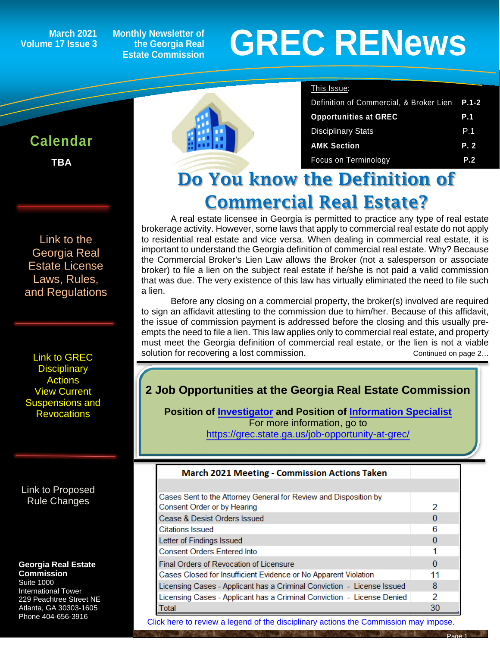**March 2021 Volume 17 Issue 3**

**Calendar**

ĺ

**TBA**

**Monthly Newsletter of the Georgia Real Estate Commission**

# **GREC RENewsGREC RENews**

#### This Issue:

| Definition of Commercial, & Broker Lien | $P.1 - 2$  |
|-----------------------------------------|------------|
| <b>Opportunities at GREC</b>            | <b>P.1</b> |
| <b>Disciplinary Stats</b>               | P.1        |
| <b>AMK Section</b>                      | P.2        |
| Focus on Terminology                    | P.2        |

# Do You know the Definition of Commercial Real Estate?

A real estate licensee in Georgia is permitted to practice any type of real estate brokerage activity. However, some laws that apply to commercial real estate do not apply to residential real estate and vice versa. When dealing in commercial real estate, it is important to understand the Georgia definition of commercial real estate. Why? Because the Commercial Broker's Lien Law allows the Broker (not a salesperson or associate broker) to file a lien on the subject real estate if he/she is not paid a valid commission that was due. The very existence of this law has virtually eliminated the need to file such a lien.

Before any closing on a commercial property, the broker(s) involved are required to sign an affidavit attesting to the commission due to him/her. Because of this affidavit, the issue of commission payment is addressed before the closing and this usually preempts the need to file a lien. This law applies only to commercial real estate, and property must meet the Georgia definition of commercial real estate, or the lien is not a viable solution for recovering a lost commission. The continued on page 2...

## **2 Job Opportunities at the Georgia Real Estate Commission**

**Position of [Investigator](https://grec.state.ga.us/wp-content/uploads/pdfs/About/HireREInvestigator%20Fall%202020.pdf) and Position of [Information Specialist](https://grec.state.ga.us/wp-content/uploads/pdfs/About/HireInfoSpec%20%20%20February%202021.pdf)** For more information, go to <https://grec.state.ga.us/job-opportunity-at-grec/>

### **March 2021 Meeting - Commission Actions Taken**

| Cases Sent to the Attorney General for Review and Disposition by       |          |
|------------------------------------------------------------------------|----------|
| Consent Order or by Hearing                                            | 2        |
| Cease & Desist Orders Issued                                           |          |
| Citations Issued                                                       | 6        |
| Letter of Findings Issued                                              |          |
| <b>Consent Orders Entered Into</b>                                     |          |
| Final Orders of Revocation of Licensure                                | $\Omega$ |
| Cases Closed for Insufficient Evidence or No Apparent Violation        |          |
| Licensing Cases - Applicant has a Criminal Conviction - License Issued | 8        |
| Licensing Cases - Applicant has a Criminal Conviction - License Denied | 2        |
| <b>Total</b>                                                           | 30       |

[Click here to review a legend of the disciplinary actions the Commission may impose.](https://www.jmre.com/grec/GRECDisciplinaryTools.pdf)

[Link to the](https://grec.state.ga.us/information-research/license-law/)  [Georgia Real](https://grec.state.ga.us/information-research/license-law/)  [Estate License](https://grec.state.ga.us/information-research/license-law/)  [Laws, Rules,](https://grec.state.ga.us/information-research/license-law/)  [and Regulations](https://grec.state.ga.us/information-research/license-law/)

[Link to GREC](http://www.grec.state.ga.us/about/resanctions.html)  **Disciplinary [Actions](http://www.grec.state.ga.us/about/resanctions.html)** View Current [Suspensions and](https://grec.state.ga.us/information-research/disciplinary-actions/real-estate/)  **Revocations** 

[Link to Proposed](https://grec.state.ga.us/information-research/disciplinary-actions/real-estate/)  [Rule Changes](https://grec.state.ga.us/information-research/legislation/real-estate/)

#### **Georgia Real Estate Commission**

Suite 1000 International Tower 229 Peachtree Street NE Atlanta, GA 30303-1605 Phone 404-656-3916

Page 1